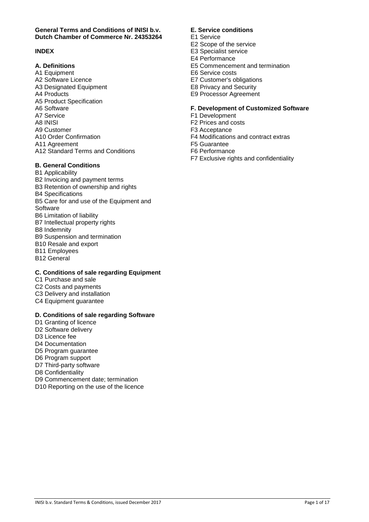# **INDEX**

# **A. Definitions**

- A1 Equipment
- A2 Software Licence
- A3 Designated Equipment
- A4 Products
- A5 Product Specification
- A6 Software
- A7 Service
- A8 INISI
- A9 Customer
- A10 Order Confirmation
- A11 Agreement
- A12 Standard Terms and Conditions

# **B. General Conditions**

B1 Applicability B2 Invoicing and payment terms B3 Retention of ownership and rights B4 Specifications B5 Care for and use of the Equipment and **Software** B6 Limitation of liability B7 Intellectual property rights B8 Indemnity B9 Suspension and termination B10 Resale and export B11 Employees B12 General

## **C. Conditions of sale regarding Equipment**

- C1 Purchase and sale
- C2 Costs and payments
- C3 Delivery and installation
- C4 Equipment guarantee

# **D. Conditions of sale regarding Software**

D1 Granting of licence D2 Software delivery D3 Licence fee D4 Documentation D5 Program guarantee D6 Program support D7 Third-party software D8 Confidentiality D9 Commencement date; termination D10 Reporting on the use of the licence

# **E. Service conditions**

- E1 Service
- E2 Scope of the service
- E3 Specialist service
- E4 Performance
- E5 Commencement and termination
- E6 Service costs
- E7 Customer's obligations
- E8 Privacy and Security
- E9 Processor Agreement

# **F. Development of Customized Software**

- F1 Development
- F2 Prices and costs
- F3 Acceptance
- F4 Modifications and contract extras
- F5 Guarantee
- F6 Performance
- F7 Exclusive rights and confidentiality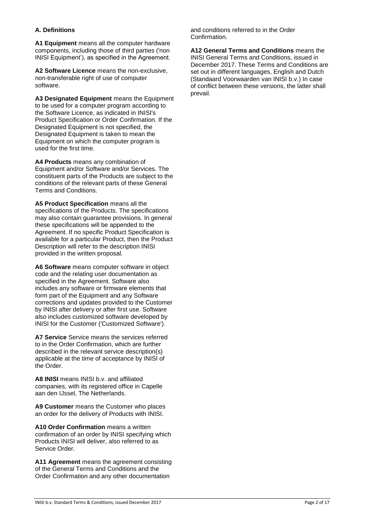# **A. Definitions**

**A1 Equipment** means all the computer hardware components, including those of third parties ('non INISI Equipment'), as specified in the Agreement.

**A2 Software Licence** means the non-exclusive, non-transferable right of use of computer software.

**A3 Designated Equipment** means the Equipment to be used for a computer program according to the Software Licence, as indicated in INISI's Product Specification or Order Confirmation. If the Designated Equipment is not specified, the Designated Equipment is taken to mean the Equipment on which the computer program is used for the first time.

**A4 Products** means any combination of Equipment and/or Software and/or Services. The constituent parts of the Products are subject to the conditions of the relevant parts of these General Terms and Conditions.

**A5 Product Specification** means all the specifications of the Products. The specifications may also contain guarantee provisions. In general these specifications will be appended to the Agreement. If no specific Product Specification is available for a particular Product, then the Product Description will refer to the description INISI provided in the written proposal.

**A6 Software** means computer software in object code and the relating user documentation as specified in the Agreement. Software also includes any software or firmware elements that form part of the Equipment and any Software corrections and updates provided to the Customer by INISI after delivery or after first use. Software also includes customized software developed by INISI for the Customer ('Customized Software').

**A7 Service** Service means the services referred to in the Order Confirmation, which are further described in the relevant service description(s) applicable at the time of acceptance by INISI of the Order.

**A8 INISI** means INISI b.v. and affiliated companies, with its registered office in Capelle aan den IJssel, The Netherlands.

**A9 Customer** means the Customer who places an order for the delivery of Products with INISI.

**A10 Order Confirmation** means a written confirmation of an order by INISI specifying which Products INISI will deliver, also referred to as Service Order.

**A11 Agreement** means the agreement consisting of the General Terms and Conditions and the Order Confirmation and any other documentation

and conditions referred to in the Order Confirmation.

**A12 General Terms and Conditions** means the INISI General Terms and Conditions, issued in December 2017. These Terms and Conditions are set out in different languages, English and Dutch (Standaard Voorwaarden van INISI b.v.) In case of conflict between these versions, the latter shall prevail.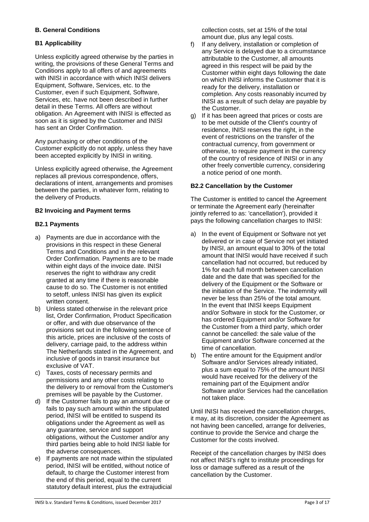# **B. General Conditions**

## **B1 Applicability**

Unless explicitly agreed otherwise by the parties in writing, the provisions of these General Terms and Conditions apply to all offers of and agreements with INISI in accordance with which INISI delivers Equipment, Software, Services, etc. to the Customer, even if such Equipment, Software, Services, etc. have not been described in further detail in these Terms. All offers are without obligation. An Agreement with INISI is effected as soon as it is signed by the Customer and INISI has sent an Order Confirmation.

Any purchasing or other conditions of the Customer explicitly do not apply, unless they have been accepted explicitly by INISI in writing.

Unless explicitly agreed otherwise, the Agreement replaces all previous correspondence, offers, declarations of intent, arrangements and promises between the parties, in whatever form, relating to the delivery of Products.

## **B2 Invoicing and Payment terms**

## **B2.1 Payments**

- a) Payments are due in accordance with the provisions in this respect in these General Terms and Conditions and in the relevant Order Confirmation. Payments are to be made within eight days of the invoice date. INISI reserves the right to withdraw any credit granted at any time if there is reasonable cause to do so. The Customer is not entitled to setoff, unless INISI has given its explicit written consent.
- b) Unless stated otherwise in the relevant price list, Order Confirmation, Product Specification or offer, and with due observance of the provisions set out in the following sentence of this article, prices are inclusive of the costs of delivery, carriage paid, to the address within The Netherlands stated in the Agreement, and inclusive of goods in transit insurance but exclusive of VAT.
- c) Taxes, costs of necessary permits and permissions and any other costs relating to the delivery to or removal from the Customer's premises will be payable by the Customer.
- d) If the Customer fails to pay an amount due or fails to pay such amount within the stipulated period, INISI will be entitled to suspend its obligations under the Agreement as well as any guarantee, service and support obligations, without the Customer and/or any third parties being able to hold INISI liable for the adverse consequences.
- e) If payments are not made within the stipulated period, INISI will be entitled, without notice of default, to charge the Customer interest from the end of this period, equal to the current statutory default interest, plus the extrajudicial

collection costs, set at 15% of the total amount due, plus any legal costs.

- f) If any delivery, installation or completion of any Service is delayed due to a circumstance attributable to the Customer, all amounts agreed in this respect will be paid by the Customer within eight days following the date on which INISI informs the Customer that it is ready for the delivery, installation or completion. Any costs reasonably incurred by INISI as a result of such delay are payable by the Customer.
- g) If it has been agreed that prices or costs are to be met outside of the Client's country of residence, INISI reserves the right, in the event of restrictions on the transfer of the contractual currency, from government or otherwise, to require payment in the currency of the country of residence of INISI or in any other freely convertible currency, considering a notice period of one month.

## **B2.2 Cancellation by the Customer**

The Customer is entitled to cancel the Agreement or terminate the Agreement early (hereinafter jointly referred to as: 'cancellation'), provided it pays the following cancellation charges to INISI:

- a) In the event of Equipment or Software not yet delivered or in case of Service not yet initiated by INISI, an amount equal to 30% of the total amount that INISI would have received if such cancellation had not occurred, but reduced by 1% for each full month between cancellation date and the date that was specified for the delivery of the Equipment or the Software or the initiation of the Service. The indemnity will never be less than 25% of the total amount. In the event that INISI keeps Equipment and/or Software in stock for the Customer, or has ordered Equipment and/or Software for the Customer from a third party, which order cannot be cancelled: the sale value of the Equipment and/or Software concerned at the time of cancellation.
- b) The entire amount for the Equipment and/or Software and/or Services already initiated, plus a sum equal to 75% of the amount INISI would have received for the delivery of the remaining part of the Equipment and/or Software and/or Services had the cancellation not taken place.

Until INISI has received the cancellation charges, it may, at its discretion, consider the Agreement as not having been cancelled, arrange for deliveries, continue to provide the Service and charge the Customer for the costs involved.

Receipt of the cancellation charges by INISI does not affect INISI's right to institute proceedings for loss or damage suffered as a result of the cancellation by the Customer.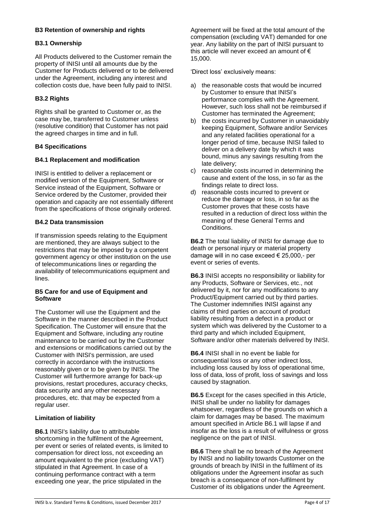# **B3 Retention of ownership and rights**

## **B3.1 Ownership**

All Products delivered to the Customer remain the property of INISI until all amounts due by the Customer for Products delivered or to be delivered under the Agreement, including any interest and collection costs due, have been fully paid to INISI.

# **B3.2 Rights**

Rights shall be granted to Customer or, as the case may be, transferred to Customer unless (resolutive condition) that Customer has not paid the agreed charges in time and in full.

# **B4 Specifications**

# **B4.1 Replacement and modification**

INISI is entitled to deliver a replacement or modified version of the Equipment, Software or Service instead of the Equipment, Software or Service ordered by the Customer, provided their operation and capacity are not essentially different from the specifications of those originally ordered.

# **B4.2 Data transmission**

If transmission speeds relating to the Equipment are mentioned, they are always subject to the restrictions that may be imposed by a competent government agency or other institution on the use of telecommunications lines or regarding the availability of telecommunications equipment and lines.

## **B5 Care for and use of Equipment and Software**

The Customer will use the Equipment and the Software in the manner described in the Product Specification. The Customer will ensure that the Equipment and Software, including any routine maintenance to be carried out by the Customer and extensions or modifications carried out by the Customer with INISI's permission, are used correctly in accordance with the instructions reasonably given or to be given by INISI. The Customer will furthermore arrange for back-up provisions, restart procedures, accuracy checks, data security and any other necessary procedures, etc. that may be expected from a regular user.

## **Limitation of liability**

**B6.1** INISI's liability due to attributable shortcoming in the fulfilment of the Agreement, per event or series of related events, is limited to compensation for direct loss, not exceeding an amount equivalent to the price (excluding VAT) stipulated in that Agreement. In case of a continuing performance contract with a term exceeding one year, the price stipulated in the

Agreement will be fixed at the total amount of the compensation (excluding VAT) demanded for one year. Any liability on the part of INISI pursuant to this article will never exceed an amount of  $\epsilon$ 15,000.

'Direct loss' exclusively means:

- a) the reasonable costs that would be incurred by Customer to ensure that INISI's performance complies with the Agreement. However, such loss shall not be reimbursed if Customer has terminated the Agreement;
- b) the costs incurred by Customer in unavoidably keeping Equipment, Software and/or Services and any related facilities operational for a longer period of time, because INISI failed to deliver on a delivery date by which it was bound, minus any savings resulting from the late delivery;
- c) reasonable costs incurred in determining the cause and extent of the loss, in so far as the findings relate to direct loss.
- d) reasonable costs incurred to prevent or reduce the damage or loss, in so far as the Customer proves that these costs have resulted in a reduction of direct loss within the meaning of these General Terms and Conditions.

**B6.2** The total liability of INISI for damage due to death or personal injury or material property damage will in no case exceed € 25,000,- per event or series of events.

**B6.3** INISI accepts no responsibility or liability for any Products, Software or Services, etc., not delivered by it, nor for any modifications to any Product/Equipment carried out by third parties. The Customer indemnifies INISI against any claims of third parties on account of product liability resulting from a defect in a product or system which was delivered by the Customer to a third party and which included Equipment, Software and/or other materials delivered by INISI.

**B6.4** INISI shall in no event be liable for consequential loss or any other indirect loss, including loss caused by loss of operational time, loss of data, loss of profit, loss of savings and loss caused by stagnation.

**B6.5** Except for the cases specified in this Article, INISI shall be under no liability for damages whatsoever, regardless of the grounds on which a claim for damages may be based. The maximum amount specified in Article B6.1 will lapse if and insofar as the loss is a result of wilfulness or gross negligence on the part of INISI.

**B6.6** There shall be no breach of the Agreement by INISI and no liability towards Customer on the grounds of breach by INISI in the fulfilment of its obligations under the Agreement insofar as such breach is a consequence of non-fulfilment by Customer of its obligations under the Agreement.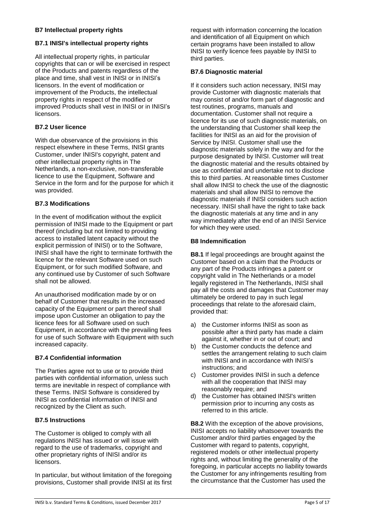# **B7 Intellectual property rights**

### **B7.1 INISI's intellectual property rights**

All intellectual property rights, in particular copyrights that can or will be exercised in respect of the Products and patents regardless of the place and time, shall vest in INISI or in INISI's licensors. In the event of modification or improvement of the Products, the intellectual property rights in respect of the modified or improved Products shall vest in INISI or in INISI's licensors.

## **B7.2 User licence**

With due observance of the provisions in this respect elsewhere in these Terms, INISI grants Customer, under INISI's copyright, patent and other intellectual property rights in The Netherlands, a non-exclusive, non-transferable licence to use the Equipment, Software and Service in the form and for the purpose for which it was provided.

### **B7.3 Modifications**

In the event of modification without the explicit permission of INISI made to the Equipment or part thereof (including but not limited to providing access to installed latent capacity without the explicit permission of INISI) or to the Software, INISI shall have the right to terminate forthwith the licence for the relevant Software used on such Equipment, or for such modified Software, and any continued use by Customer of such Software shall not be allowed.

An unauthorised modification made by or on behalf of Customer that results in the increased capacity of the Equipment or part thereof shall impose upon Customer an obligation to pay the licence fees for all Software used on such Equipment, in accordance with the prevailing fees for use of such Software with Equipment with such increased capacity.

## **B7.4 Confidential information**

The Parties agree not to use or to provide third parties with confidential information, unless such terms are inevitable in respect of compliance with these Terms. INISI Software is considered by INISI as confidential information of INISI and recognized by the Client as such.

## **B7.5 Instructions**

The Customer is obliged to comply with all regulations INISI has issued or will issue with regard to the use of trademarks, copyright and other proprietary rights of INISI and/or its licensors.

In particular, but without limitation of the foregoing provisions, Customer shall provide INISI at its first

request with information concerning the location and identification of all Equipment on which certain programs have been installed to allow INISI to verify licence fees payable by INISI to third parties.

### **B7.6 Diagnostic material**

If it considers such action necessary, INISI may provide Customer with diagnostic materials that may consist of and/or form part of diagnostic and test routines, programs, manuals and documentation. Customer shall not require a licence for its use of such diagnostic materials, on the understanding that Customer shall keep the facilities for INISI as an aid for the provision of Service by INISI. Customer shall use the diagnostic materials solely in the way and for the purpose designated by INISI. Customer will treat the diagnostic material and the results obtained by use as confidential and undertake not to disclose this to third parties. At reasonable times Customer shall allow INISI to check the use of the diagnostic materials and shall allow INISI to remove the diagnostic materials if INISI considers such action necessary. INISI shall have the right to take back the diagnostic materials at any time and in any way immediately after the end of an INISI Service for which they were used.

## **B8 Indemnification**

**B8.1** If legal proceedings are brought against the Customer based on a claim that the Products or any part of the Products infringes a patent or copyright valid in The Netherlands or a model legally registered in The Netherlands, INISI shall pay all the costs and damages that Customer may ultimately be ordered to pay in such legal proceedings that relate to the aforesaid claim, provided that:

- a) the Customer informs INISI as soon as possible after a third party has made a claim against it, whether in or out of court; and
- b) the Customer conducts the defence and settles the arrangement relating to such claim with INISI and in accordance with INISI's instructions; and
- c) Customer provides INISI in such a defence with all the cooperation that INISI may reasonably require; and
- d) the Customer has obtained INISI's written permission prior to incurring any costs as referred to in this article.

**B8.2** With the exception of the above provisions, INISI accepts no liability whatsoever towards the Customer and/or third parties engaged by the Customer with regard to patents, copyright, registered models or other intellectual property rights and, without limiting the generality of the foregoing, in particular accepts no liability towards the Customer for any infringements resulting from the circumstance that the Customer has used the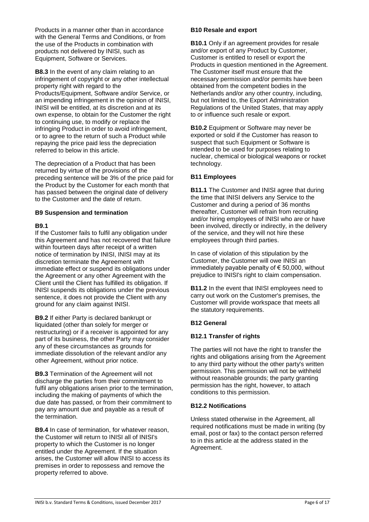Products in a manner other than in accordance with the General Terms and Conditions, or from the use of the Products in combination with products not delivered by INISI, such as Equipment, Software or Services.

**B8.3** In the event of any claim relating to an infringement of copyright or any other intellectual property right with regard to the Products/Equipment, Software and/or Service, or an impending infringement in the opinion of INISI, INISI will be entitled, at its discretion and at its own expense, to obtain for the Customer the right to continuing use, to modify or replace the infringing Product in order to avoid infringement, or to agree to the return of such a Product while repaying the price paid less the depreciation referred to below in this article.

The depreciation of a Product that has been returned by virtue of the provisions of the preceding sentence will be 3% of the price paid for the Product by the Customer for each month that has passed between the original date of delivery to the Customer and the date of return.

## **B9 Suspension and termination**

### **B9.1**

If the Customer fails to fulfil any obligation under this Agreement and has not recovered that failure within fourteen days after receipt of a written notice of termination by INISI, INISI may at its discretion terminate the Agreement with immediate effect or suspend its obligations under the Agreement or any other Agreement with the Client until the Client has fulfilled its obligation. If INISI suspends its obligations under the previous sentence, it does not provide the Client with any ground for any claim against INISI.

**B9.2** If either Party is declared bankrupt or liquidated (other than solely for merger or restructuring) or if a receiver is appointed for any part of its business, the other Party may consider any of these circumstances as grounds for immediate dissolution of the relevant and/or any other Agreement, without prior notice.

**B9.3** Termination of the Agreement will not discharge the parties from their commitment to fulfil any obligations arisen prior to the termination, including the making of payments of which the due date has passed, or from their commitment to pay any amount due and payable as a result of the termination.

**B9.4** In case of termination, for whatever reason, the Customer will return to INISI all of INISI's property to which the Customer is no longer entitled under the Agreement. If the situation arises, the Customer will allow INISI to access its premises in order to repossess and remove the property referred to above.

#### **B10 Resale and export**

**B10.1** Only if an agreement provides for resale and/or export of any Product by Customer, Customer is entitled to resell or export the Products in question mentioned in the Agreement. The Customer itself must ensure that the necessary permission and/or permits have been obtained from the competent bodies in the Netherlands and/or any other country, including, but not limited to, the Export Administration Regulations of the United States, that may apply to or influence such resale or export.

**B10.2** Equipment or Software may never be exported or sold if the Customer has reason to suspect that such Equipment or Software is intended to be used for purposes relating to nuclear, chemical or biological weapons or rocket technology.

## **B11 Employees**

**B11.1** The Customer and INISI agree that during the time that INISI delivers any Service to the Customer and during a period of 36 months thereafter, Customer will refrain from recruiting and/or hiring employees of INISI who are or have been involved, directly or indirectly, in the delivery of the service, and they will not hire these employees through third parties.

In case of violation of this stipulation by the Customer, the Customer will owe INISI an immediately payable penalty of  $\epsilon$  50,000, without prejudice to INISI's right to claim compensation.

**B11.2** In the event that INISI employees need to carry out work on the Customer's premises, the Customer will provide workspace that meets all the statutory requirements.

## **B12 General**

## **B12.1 Transfer of rights**

The parties will not have the right to transfer the rights and obligations arising from the Agreement to any third party without the other party's written permission. This permission will not be withheld without reasonable grounds; the party granting permission has the right, however, to attach conditions to this permission.

#### **B12.2 Notifications**

Unless stated otherwise in the Agreement, all required notifications must be made in writing (by email, post or fax) to the contact person referred to in this article at the address stated in the Agreement.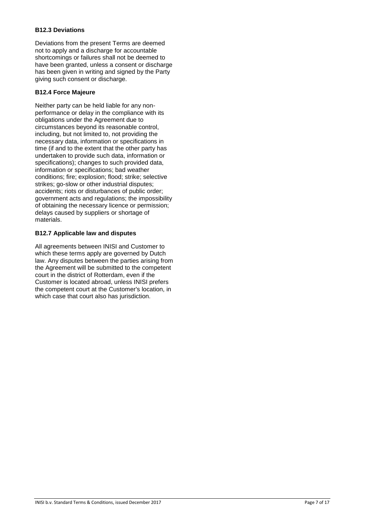## **B12.3 Deviations**

Deviations from the present Terms are deemed not to apply and a discharge for accountable shortcomings or failures shall not be deemed to have been granted, unless a consent or discharge has been given in writing and signed by the Party giving such consent or discharge.

# **B12.4 Force Majeure**

Neither party can be held liable for any nonperformance or delay in the compliance with its obligations under the Agreement due to circumstances beyond its reasonable control, including, but not limited to, not providing the necessary data, information or specifications in time (if and to the extent that the other party has undertaken to provide such data, information or specifications); changes to such provided data, information or specifications; bad weather conditions; fire; explosion; flood; strike; selective strikes; go-slow or other industrial disputes; accidents; riots or disturbances of public order; government acts and regulations; the impossibility of obtaining the necessary licence or permission; delays caused by suppliers or shortage of materials.

# **B12.7 Applicable law and disputes**

All agreements between INISI and Customer to which these terms apply are governed by Dutch law. Any disputes between the parties arising from the Agreement will be submitted to the competent court in the district of Rotterdam, even if the Customer is located abroad, unless INISI prefers the competent court at the Customer's location, in which case that court also has jurisdiction.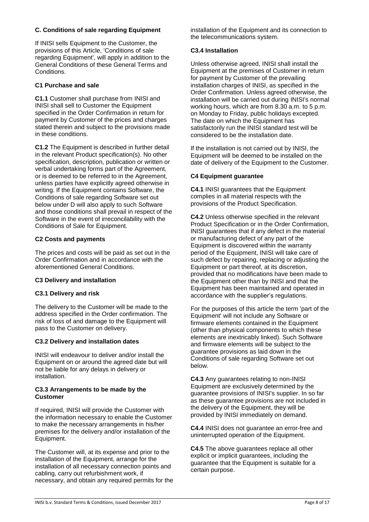## **C. Conditions of sale regarding Equipment**

If INISI sells Equipment to the Customer, the provisions of this Article, 'Conditions of sale regarding Equipment', will apply in addition to the General Conditions of these General Terms and **Conditions** 

# **C1 Purchase and sale**

**C1.1** Customer shall purchase from INISI and INISI shall sell to Customer the Equipment specified in the Order Confirmation in return for payment by Customer of the prices and charges stated therein and subject to the provisions made in these conditions.

**C1.2** The Equipment is described in further detail in the relevant Product specification(s). No other specification, description, publication or written or verbal undertaking forms part of the Agreement, or is deemed to be referred to in the Agreement, unless parties have explicitly agreed otherwise in writing. If the Equipment contains Software, the Conditions of sale regarding Software set out below under D will also apply to such Software and those conditions shall prevail in respect of the Software in the event of irreconcilability with the Conditions of Sale for Equipment.

# **C2 Costs and payments**

The prices and costs will be paid as set out in the Order Confirmation and in accordance with the aforementioned General Conditions.

# **C3 Delivery and installation**

## **C3.1 Delivery and risk**

The delivery to the Customer will be made to the address specified in the Order confirmation. The risk of loss of and damage to the Equipment will pass to the Customer on delivery.

## **C3.2 Delivery and installation dates**

INISI will endeavour to deliver and/or install the Equipment on or around the agreed date but will not be liable for any delays in delivery or installation.

### **C3.3 Arrangements to be made by the Customer**

If required, INISI will provide the Customer with the information necessary to enable the Customer to make the necessary arrangements in his/her premises for the delivery and/or installation of the Equipment.

The Customer will, at its expense and prior to the installation of the Equipment, arrange for the installation of all necessary connection points and cabling, carry out refurbishment work, if necessary, and obtain any required permits for the installation of the Equipment and its connection to the telecommunications system.

# **C3.4 Installation**

Unless otherwise agreed, INISI shall install the Equipment at the premises of Customer in return for payment by Customer of the prevailing installation charges of INISI, as specified in the Order Confirmation. Unless agreed otherwise, the installation will be carried out during INISI's normal working hours, which are from 8.30 a.m. to 5 p.m. on Monday to Friday, public holidays excepted. The date on which the Equipment has satisfactorily run the INISI standard test will be considered to be the installation date.

If the installation is not carried out by INISI, the Equipment will be deemed to be installed on the date of delivery of the Equipment to the Customer.

# **C4 Equipment guarantee**

**C4.1** INISI guarantees that the Equipment complies in all material respects with the provisions of the Product Specification.

**C4.2** Unless otherwise specified in the relevant Product Specification or in the Order Confirmation, INISI guarantees that if any defect in the material or manufacturing defect of any part of the Equipment is discovered within the warranty period of the Equipment, INISI will take care of such defect by repairing, replacing or adjusting the Equipment or part thereof, at its discretion, provided that no modifications have been made to the Equipment other than by INISI and that the Equipment has been maintained and operated in accordance with the supplier's regulations.

For the purposes of this article the term 'part of the Equipment' will not include any Software or firmware elements contained in the Equipment (other than physical components to which these elements are inextricably linked). Such Software and firmware elements will be subject to the guarantee provisions as laid down in the Conditions of sale regarding Software set out below.

**C4.3** Any guarantees relating to non-INISI Equipment are exclusively determined by the guarantee provisions of INISI's supplier. In so far as these guarantee provisions are not included in the delivery of the Equipment, they will be provided by INISI immediately on demand.

**C4.4** INISI does not guarantee an error-free and uninterrupted operation of the Equipment.

**C4.5** The above guarantees replace all other explicit or implicit guarantees, including the guarantee that the Equipment is suitable for a certain purpose.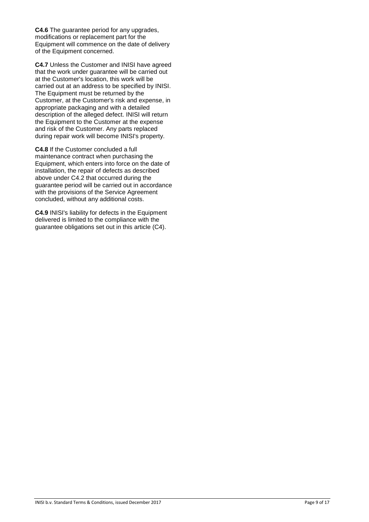**C4.6** The guarantee period for any upgrades, modifications or replacement part for the Equipment will commence on the date of delivery of the Equipment concerned.

**C4.7** Unless the Customer and INISI have agreed that the work under quarantee will be carried out at the Customer's location, this work will be carried out at an address to be specified by INISI. The Equipment must be returned by the Customer, at the Customer's risk and expense, in appropriate packaging and with a detailed description of the alleged defect. INISI will return the Equipment to the Customer at the expense and risk of the Customer. Any parts replaced during repair work will become INISI's property.

**C4.8** If the Customer concluded a full maintenance contract when purchasing the Equipment, which enters into force on the date of installation, the repair of defects as described above under C4.2 that occurred during the guarantee period will be carried out in accordance with the provisions of the Service Agreement concluded, without any additional costs.

**C4.9** INISI's liability for defects in the Equipment delivered is limited to the compliance with the guarantee obligations set out in this article (C4).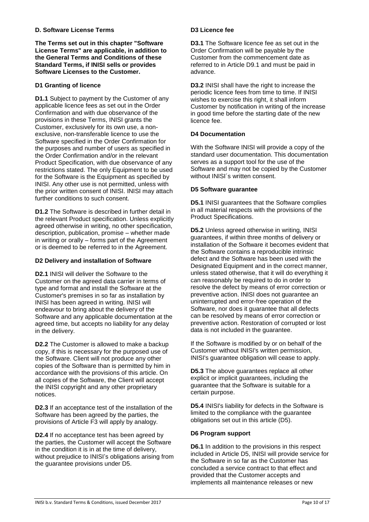### **D. Software License Terms**

**The Terms set out in this chapter "Software License Terms" are applicable, in addition to the General Terms and Conditions of these Standard Terms, if INISI sells or provides Software Licenses to the Customer.**

### **D1 Granting of licence**

**D1.1** Subject to payment by the Customer of any applicable licence fees as set out in the Order Confirmation and with due observance of the provisions in these Terms, INISI grants the Customer, exclusively for its own use, a nonexclusive, non-transferable licence to use the Software specified in the Order Confirmation for the purposes and number of users as specified in the Order Confirmation and/or in the relevant Product Specification, with due observance of any restrictions stated. The only Equipment to be used for the Software is the Equipment as specified by INISI. Any other use is not permitted, unless with the prior written consent of INISI. INISI may attach further conditions to such consent.

**D1.2** The Software is described in further detail in the relevant Product specification. Unless explicitly agreed otherwise in writing, no other specification, description, publication, promise – whether made in writing or orally – forms part of the Agreement or is deemed to be referred to in the Agreement.

### **D2 Delivery and installation of Software**

**D2.1** INISI will deliver the Software to the Customer on the agreed data carrier in terms of type and format and install the Software at the Customer's premises in so far as installation by INISI has been agreed in writing. INISI will endeavour to bring about the delivery of the Software and any applicable documentation at the agreed time, but accepts no liability for any delay in the delivery.

**D2.2** The Customer is allowed to make a backup copy, if this is necessary for the purposed use of the Software. Client will not produce any other copies of the Software than is permitted by him in accordance with the provisions of this article. On all copies of the Software, the Client will accept the INISI copyright and any other proprietary notices.

**D2.3** If an acceptance test of the installation of the Software has been agreed by the parties, the provisions of Article F3 will apply by analogy.

**D2.4** If no acceptance test has been agreed by the parties, the Customer will accept the Software in the condition it is in at the time of delivery, without prejudice to INISI's obligations arising from the guarantee provisions under D5.

#### **D3 Licence fee**

**D3.1** The Software licence fee as set out in the Order Confirmation will be payable by the Customer from the commencement date as referred to in Article D9.1 and must be paid in advance.

**D3.2** INISI shall have the right to increase the periodic licence fees from time to time. If INISI wishes to exercise this right, it shall inform Customer by notification in writing of the increase in good time before the starting date of the new licence fee.

### **D4 Documentation**

With the Software INISI will provide a copy of the standard user documentation. This documentation serves as a support tool for the use of the Software and may not be copied by the Customer without INISI's written consent.

### **D5 Software guarantee**

**D5.1** INISI guarantees that the Software complies in all material respects with the provisions of the Product Specifications.

**D5.2** Unless agreed otherwise in writing, INISI guarantees, if within three months of delivery or installation of the Software it becomes evident that the Software contains a reproducible intrinsic defect and the Software has been used with the Designated Equipment and in the correct manner, unless stated otherwise, that it will do everything it can reasonably be required to do in order to resolve the defect by means of error correction or preventive action. INISI does not guarantee an uninterrupted and error-free operation of the Software, nor does it guarantee that all defects can be resolved by means of error correction or preventive action. Restoration of corrupted or lost data is not included in the guarantee.

If the Software is modified by or on behalf of the Customer without INISI's written permission, INISI's guarantee obligation will cease to apply.

**D5.3** The above guarantees replace all other explicit or implicit guarantees, including the guarantee that the Software is suitable for a certain purpose.

**D5.4** INISI's liability for defects in the Software is limited to the compliance with the guarantee obligations set out in this article (D5).

#### **D6 Program support**

**D6.1** In addition to the provisions in this respect included in Article D5, INISI will provide service for the Software in so far as the Customer has concluded a service contract to that effect and provided that the Customer accepts and implements all maintenance releases or new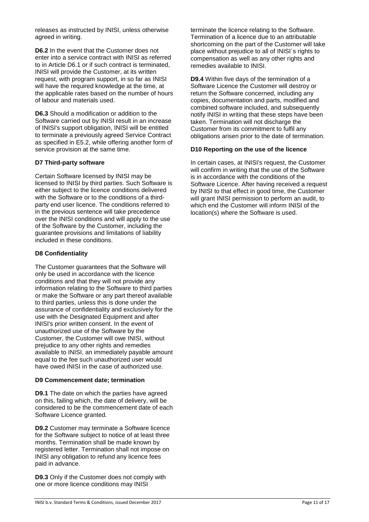releases as instructed by INISI, unless otherwise agreed in writing.

**D6.2** In the event that the Customer does not enter into a service contract with INISI as referred to in Article D6.1 or if such contract is terminated, INISI will provide the Customer, at its written request, with program support, in so far as INISI will have the required knowledge at the time, at the applicable rates based on the number of hours of labour and materials used.

**D6.3** Should a modification or addition to the Software carried out by INISI result in an increase of INISI's support obligation, INISI will be entitled to terminate a previously agreed Service Contract as specified in E5.2, while offering another form of service provision at the same time.

## **D7 Third-party software**

Certain Software licensed by INISI may be licensed to INISI by third parties. Such Software is either subject to the licence conditions delivered with the Software or to the conditions of a thirdparty end user licence. The conditions referred to in the previous sentence will take precedence over the INISI conditions and will apply to the use of the Software by the Customer, including the guarantee provisions and limitations of liability included in these conditions.

# **D8 Confidentiality**

The Customer guarantees that the Software will only be used in accordance with the licence conditions and that they will not provide any information relating to the Software to third parties or make the Software or any part thereof available to third parties, unless this is done under the assurance of confidentiality and exclusively for the use with the Designated Equipment and after INISI's prior written consent. In the event of unauthorized use of the Software by the Customer, the Customer will owe INISI, without prejudice to any other rights and remedies available to INISI, an immediately payable amount equal to the fee such unauthorized user would have owed INISI in the case of authorized use.

## **D9 Commencement date; termination**

**D9.1** The date on which the parties have agreed on this, failing which, the date of delivery, will be considered to be the commencement date of each Software Licence granted.

**D9.2** Customer may terminate a Software licence for the Software subject to notice of at least three months. Termination shall be made known by registered letter. Termination shall not impose on INISI any obligation to refund any licence fees paid in advance.

**D9.3** Only if the Customer does not comply with one or more licence conditions may INISI

terminate the licence relating to the Software. Termination of a licence due to an attributable shortcoming on the part of the Customer will take place without prejudice to all of INISI´s rights to compensation as well as any other rights and remedies available to INISI.

**D9.4** Within five days of the termination of a Software Licence the Customer will destroy or return the Software concerned, including any copies, documentation and parts, modified and combined software included, and subsequently notify INISI in writing that these steps have been taken. Termination will not discharge the Customer from its commitment to fulfil any obligations arisen prior to the date of termination.

# **D10 Reporting on the use of the licence**

In certain cases, at INISI's request, the Customer will confirm in writing that the use of the Software is in accordance with the conditions of the Software Licence. After having received a request by INISI to that effect in good time, the Customer will grant INISI permission to perform an audit, to which end the Customer will inform INISI of the location(s) where the Software is used.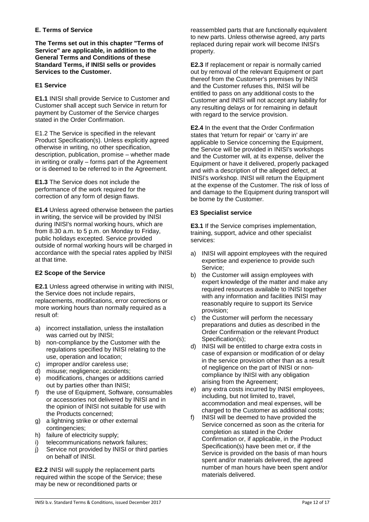## **E. Terms of Service**

**The Terms set out in this chapter "Terms of Service" are applicable, in addition to the General Terms and Conditions of these Standard Terms, if INISI sells or provides Services to the Customer.**

# **E1 Service**

**E1.1** INISI shall provide Service to Customer and Customer shall accept such Service in return for payment by Customer of the Service charges stated in the Order Confirmation.

E1.2 The Service is specified in the relevant Product Specification(s). Unless explicitly agreed otherwise in writing, no other specification, description, publication, promise – whether made in writing or orally – forms part of the Agreement or is deemed to be referred to in the Agreement.

**E1.3** The Service does not include the performance of the work required for the correction of any form of design flaws.

**E1.4** Unless agreed otherwise between the parties in writing, the service will be provided by INISI during INISI's normal working hours, which are from 8.30 a.m. to 5 p.m. on Monday to Friday, public holidays excepted. Service provided outside of normal working hours will be charged in accordance with the special rates applied by INISI at that time.

# **E2 Scope of the Service**

**E2.1** Unless agreed otherwise in writing with INISI, the Service does not include repairs, replacements, modifications, error corrections or more working hours than normally required as a result of:

- a) incorrect installation, unless the installation was carried out by INISI;
- b) non-compliance by the Customer with the regulations specified by INISI relating to the use, operation and location;
- c) improper and/or careless use;
- d) misuse; negligence; accidents;
- e) modifications, changes or additions carried out by parties other than INISI;
- f) the use of Equipment, Software, consumables or accessories not delivered by INISI and in the opinion of INISI not suitable for use with the Products concerned;
- g) a lightning strike or other external contingencies;
- h) failure of electricity supply;
- i) telecommunications network failures;
- j) Service not provided by INISI or third parties on behalf of INISI.

**E2.2** INISI will supply the replacement parts required within the scope of the Service; these may be new or reconditioned parts or

reassembled parts that are functionally equivalent to new parts. Unless otherwise agreed, any parts replaced during repair work will become INISI's property.

**E2.3** If replacement or repair is normally carried out by removal of the relevant Equipment or part thereof from the Customer's premises by INISI and the Customer refuses this, INISI will be entitled to pass on any additional costs to the Customer and INISI will not accept any liability for any resulting delays or for remaining in default with regard to the service provision.

**E2.4** In the event that the Order Confirmation states that 'return for repair' or 'carry in' are applicable to Service concerning the Equipment, the Service will be provided in INISI's workshops and the Customer will, at its expense, deliver the Equipment or have it delivered, properly packaged and with a description of the alleged defect, at INISI's workshop. INISI will return the Equipment at the expense of the Customer. The risk of loss of and damage to the Equipment during transport will be borne by the Customer.

## **E3 Specialist service**

**E3.1** If the Service comprises implementation, training, support, advice and other specialist services:

- a) INISI will appoint employees with the required expertise and experience to provide such Service;
- b) the Customer will assign employees with expert knowledge of the matter and make any required resources available to INISI together with any information and facilities INISI may reasonably require to support its Service provision;
- c) the Customer will perform the necessary preparations and duties as described in the Order Confirmation or the relevant Product Specification(s);
- d) INISI will be entitled to charge extra costs in case of expansion or modification of or delay in the service provision other than as a result of negligence on the part of INISI or noncompliance by INISI with any obligation arising from the Agreement;
- e) any extra costs incurred by INISI employees, including, but not limited to, travel, accommodation and meal expenses, will be charged to the Customer as additional costs;
- f) INISI will be deemed to have provided the Service concerned as soon as the criteria for completion as stated in the Order Confirmation or, if applicable, in the Product Specification(s) have been met or, if the Service is provided on the basis of man hours spent and/or materials delivered, the agreed number of man hours have been spent and/or materials delivered.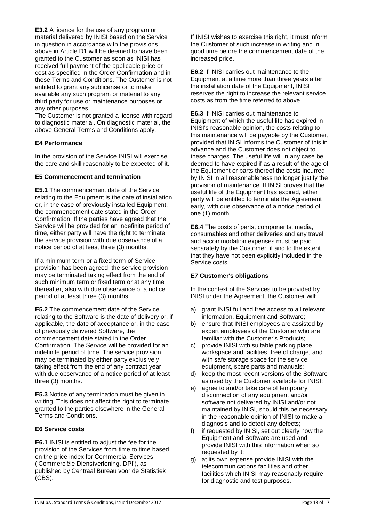**E3.2** A licence for the use of any program or material delivered by INISI based on the Service in question in accordance with the provisions above in Article D1 will be deemed to have been granted to the Customer as soon as INISI has received full payment of the applicable price or cost as specified in the Order Confirmation and in these Terms and Conditions. The Customer is not entitled to grant any sublicense or to make available any such program or material to any third party for use or maintenance purposes or any other purposes.

The Customer is not granted a license with regard to diagnostic material. On diagnostic material, the above General Terms and Conditions apply.

# **E4 Performance**

In the provision of the Service INISI will exercise the care and skill reasonably to be expected of it.

## **E5 Commencement and termination**

**E5.1** The commencement date of the Service relating to the Equipment is the date of installation or, in the case of previously installed Equipment, the commencement date stated in the Order Confirmation. If the parties have agreed that the Service will be provided for an indefinite period of time, either party will have the right to terminate the service provision with due observance of a notice period of at least three (3) months.

If a minimum term or a fixed term of Service provision has been agreed, the service provision may be terminated taking effect from the end of such minimum term or fixed term or at any time thereafter, also with due observance of a notice period of at least three (3) months.

**E5.2** The commencement date of the Service relating to the Software is the date of delivery or, if applicable, the date of acceptance or, in the case of previously delivered Software, the commencement date stated in the Order Confirmation. The Service will be provided for an indefinite period of time. The service provision may be terminated by either party exclusively taking effect from the end of any contract year with due observance of a notice period of at least three (3) months.

**E5.3** Notice of any termination must be given in writing. This does not affect the right to terminate granted to the parties elsewhere in the General Terms and Conditions.

## **E6 Service costs**

**E6.1** INISI is entitled to adjust the fee for the provision of the Services from time to time based on the price index for Commercial Services ('Commerciële Dienstverlening, DPI'), as published by Centraal Bureau voor de Statistiek (CBS).

If INISI wishes to exercise this right, it must inform the Customer of such increase in writing and in good time before the commencement date of the increased price.

**E6.2** If INISI carries out maintenance to the Equipment at a time more than three years after the installation date of the Equipment, INISI reserves the right to increase the relevant service costs as from the time referred to above.

**E6.3** If INISI carries out maintenance to Equipment of which the useful life has expired in INISI's reasonable opinion, the costs relating to this maintenance will be payable by the Customer, provided that INISI informs the Customer of this in advance and the Customer does not object to these charges. The useful life will in any case be deemed to have expired if as a result of the age of the Equipment or parts thereof the costs incurred by INISI in all reasonableness no longer justify the provision of maintenance. If INISI proves that the useful life of the Equipment has expired, either party will be entitled to terminate the Agreement early, with due observance of a notice period of one (1) month.

**E6.4** The costs of parts, components, media, consumables and other deliveries and any travel and accommodation expenses must be paid separately by the Customer, if and to the extent that they have not been explicitly included in the Service costs.

# **E7 Customer's obligations**

In the context of the Services to be provided by INISI under the Agreement, the Customer will:

- a) grant INISI full and free access to all relevant information, Equipment and Software;
- b) ensure that INISI employees are assisted by expert employees of the Customer who are familiar with the Customer's Products;
- c) provide INISI with suitable parking place, workspace and facilities, free of charge, and with safe storage space for the service equipment, spare parts and manuals;
- d) keep the most recent versions of the Software as used by the Customer available for INISI;
- e) agree to and/or take care of temporary disconnection of any equipment and/or software not delivered by INISI and/or not maintained by INISI, should this be necessary in the reasonable opinion of INISI to make a diagnosis and to detect any defects;
- f) if requested by INISI, set out clearly how the Equipment and Software are used and provide INISI with this information when so requested by it;
- g) at its own expense provide INISI with the telecommunications facilities and other facilities which INISI may reasonably require for diagnostic and test purposes.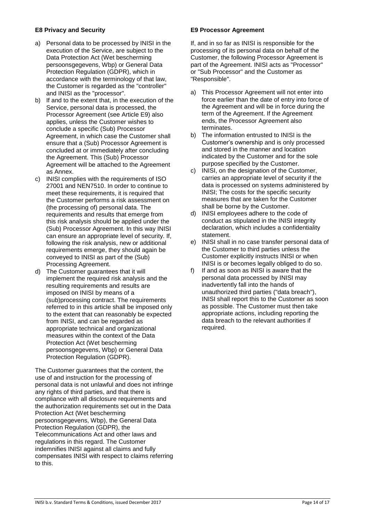## **E8 Privacy and Security**

- a) Personal data to be processed by INISI in the execution of the Service, are subject to the Data Protection Act (Wet bescherming persoonsgegevens, Wbp) or General Data Protection Regulation (GDPR), which in accordance with the terminology of that law, the Customer is regarded as the "controller" and INISI as the "processor".
- b) If and to the extent that, in the execution of the Service, personal data is processed, the Processor Agreement (see Article E9) also applies, unless the Customer wishes to conclude a specific (Sub) Processor Agreement, in which case the Customer shall ensure that a (Sub) Processor Agreement is concluded at or immediately after concluding the Agreement. This (Sub) Processor Agreement will be attached to the Agreement as Annex.
- c) INISI complies with the requirements of ISO 27001 and NEN7510. In order to continue to meet these requirements, it is required that the Customer performs a risk assessment on (the processing of) personal data. The requirements and results that emerge from this risk analysis should be applied under the (Sub) Processor Agreement. In this way INISI can ensure an appropriate level of security. If, following the risk analysis, new or additional requirements emerge, they should again be conveyed to INISI as part of the (Sub) Processing Agreement.
- d) The Customer guarantees that it will implement the required risk analysis and the resulting requirements and results are imposed on INISI by means of a (sub)processing contract. The requirements referred to in this article shall be imposed only to the extent that can reasonably be expected from INISI, and can be regarded as appropriate technical and organizational measures within the context of the Data Protection Act (Wet bescherming persoonsgegevens, Wbp) or General Data Protection Regulation (GDPR).

The Customer guarantees that the content, the use of and instruction for the processing of personal data is not unlawful and does not infringe any rights of third parties, and that there is compliance with all disclosure requirements and the authorization requirements set out in the Data Protection Act (Wet bescherming persoonsgegevens, Wbp), the General Data Protection Regulation (GDPR), the Telecommunications Act and other laws and regulations in this regard. The Customer indemnifies INISI against all claims and fully compensates INISI with respect to claims referring to this.

# **E9 Processor Agreement**

If, and in so far as INISI is responsible for the processing of its personal data on behalf of the Customer, the following Processor Agreement is part of the Agreement. INISI acts as "Processor" or "Sub Processor" and the Customer as "Responsible".

- a) This Processor Agreement will not enter into force earlier than the date of entry into force of the Agreement and will be in force during the term of the Agreement. If the Agreement ends, the Processor Agreement also terminates.
- b) The information entrusted to INISI is the Customer's ownership and is only processed and stored in the manner and location indicated by the Customer and for the sole purpose specified by the Customer.
- c) INISI, on the designation of the Customer, carries an appropriate level of security if the data is processed on systems administered by INISI; The costs for the specific security measures that are taken for the Customer shall be borne by the Customer.
- d) INISI employees adhere to the code of conduct as stipulated in the INISI integrity declaration, which includes a confidentiality statement.
- e) INISI shall in no case transfer personal data of the Customer to third parties unless the Customer explicitly instructs INISI or when INISI is or becomes legally obliged to do so.
- f) If and as soon as INISI is aware that the personal data processed by INISI may inadvertently fall into the hands of unauthorized third parties ("data breach"), INISI shall report this to the Customer as soon as possible. The Customer must then take appropriate actions, including reporting the data breach to the relevant authorities if required.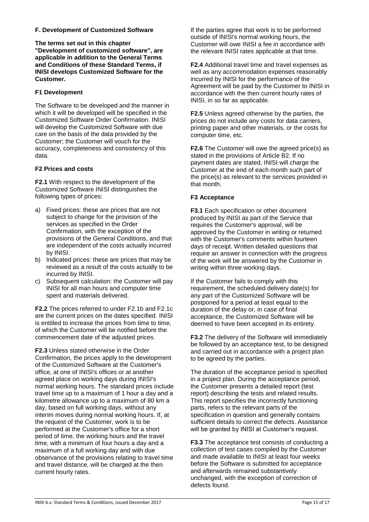### **F. Development of Customized Software**

**The terms set out in this chapter "Development of customized software", are applicable in addition to the General Terms and Conditions of these Standard Terms, if INISI develops Customized Software for the Customer.**

### **F1 Development**

The Software to be developed and the manner in which it will be developed will be specified in the Customized Software Order Confirmation. INISI will develop the Customized Software with due care on the basis of the data provided by the Customer; the Customer will vouch for the accuracy, completeness and consistency of this data.

### **F2 Prices and costs**

**F2.1** With respect to the development of the Customized Software INISI distinguishes the following types of prices:

- a) Fixed prices: these are prices that are not subject to change for the provision of the services as specified in the Order Confirmation, with the exception of the provisions of the General Conditions, and that are independent of the costs actually incurred by INISI.
- b) Indicated prices: these are prices that may be reviewed as a result of the costs actually to be incurred by INISI.
- c) Subsequent calculation: the Customer will pay INISI for all man hours and computer time spent and materials delivered.

**F2.2** The prices referred to under F2.1b and F2.1c are the current prices on the dates specified. INISI is entitled to increase the prices from time to time, of which the Customer will be notified before the commencement date of the adjusted prices.

**F2.3** Unless stated otherwise in the Order Confirmation, the prices apply to the development of the Customized Software at the Customer's office, at one of INISI's offices or at another agreed place on working days during INISI's normal working hours. The standard prices include travel time up to a maximum of 1 hour a day and a kilometre allowance up to a maximum of 80 km a day, based on full working days, without any interim moves during normal working hours. If, at the request of the Customer, work is to be performed at the Customer's office for a short period of time, the working hours and the travel time, with a minimum of four hours a day and a maximum of a full working day and with due observance of the provisions relating to travel time and travel distance, will be charged at the then current hourly rates.

If the parties agree that work is to be performed outside of INISI's normal working hours, the Customer will owe INISI a fee in accordance with the relevant INISI rates applicable at that time.

**F2.4** Additional travel time and travel expenses as well as any accommodation expenses reasonably incurred by INISI for the performance of the Agreement will be paid by the Customer to INISI in accordance with the then current hourly rates of INISI, in so far as applicable.

**F2.5** Unless agreed otherwise by the parties, the prices do not include any costs for data carriers, printing paper and other materials, or the costs for computer time, etc.

**F2.6** The Customer will owe the agreed price(s) as stated in the provisions of Article B2. If no payment dates are stated, INISI will charge the Customer at the end of each month such part of the price(s) as relevant to the services provided in that month.

### **F3 Acceptance**

**F3.1** Each specification or other document produced by INISI as part of the Service that requires the Customer's approval, will be approved by the Customer in writing or returned with the Customer's comments within fourteen days of receipt. Written detailed questions that require an answer in connection with the progress of the work will be answered by the Customer in writing within three working days.

If the Customer fails to comply with this requirement, the scheduled delivery date(s) for any part of the Customized Software will be postponed for a period at least equal to the duration of the delay or, in case of final acceptance, the Customized Software will be deemed to have been accepted in its entirety.

**F3.2** The delivery of the Software will immediately be followed by an acceptance test, to be designed and carried out in accordance with a project plan to be agreed by the parties.

The duration of the acceptance period is specified in a project plan. During the acceptance period, the Customer presents a detailed report (test report) describing the tests and related results. This report specifies the incorrectly functioning parts, refers to the relevant parts of the specification in question and generally contains sufficient details to correct the defects. Assistance will be granted by INISI at Customer's request.

**F3.3** The acceptance test consists of conducting a collection of test cases compiled by the Customer and made available to INISI at least four weeks before the Software is submitted for acceptance and afterwards remained substantively unchanged, with the exception of correction of defects found.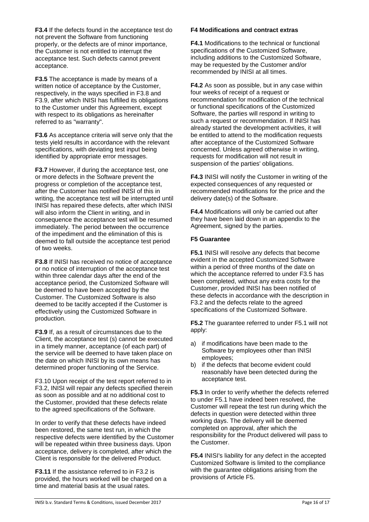**F3.4** If the defects found in the acceptance test do not prevent the Software from functioning properly, or the defects are of minor importance, the Customer is not entitled to interrupt the acceptance test. Such defects cannot prevent acceptance.

**F3.5** The acceptance is made by means of a written notice of acceptance by the Customer, respectively, in the ways specified in F3.8 and F3.9, after which INISI has fulfilled its obligations to the Customer under this Agreement, except with respect to its obligations as hereinafter referred to as "warranty".

**F3.6** As acceptance criteria will serve only that the tests yield results in accordance with the relevant specifications, with deviating test input being identified by appropriate error messages.

**F3.7** However, if during the acceptance test, one or more defects in the Software prevent the progress or completion of the acceptance test, after the Customer has notified INISI of this in writing, the acceptance test will be interrupted until INISI has repaired these defects, after which INISI will also inform the Client in writing, and in consequence the acceptance test will be resumed immediately. The period between the occurrence of the impediment and the elimination of this is deemed to fall outside the acceptance test period of two weeks.

**F3.8** If INISI has received no notice of acceptance or no notice of interruption of the acceptance test within three calendar days after the end of the acceptance period, the Customized Software will be deemed to have been accepted by the Customer. The Customized Software is also deemed to be tacitly accepted if the Customer is effectively using the Customized Software in production.

**F3.9** If, as a result of circumstances due to the Client, the acceptance test (s) cannot be executed in a timely manner, acceptance (of each part) of the service will be deemed to have taken place on the date on which INISI by its own means has determined proper functioning of the Service.

F3.10 Upon receipt of the test report referred to in F3.2, INISI will repair any defects specified therein as soon as possible and at no additional cost to the Customer, provided that these defects relate to the agreed specifications of the Software.

In order to verify that these defects have indeed been restored, the same test run, in which the respective defects were identified by the Customer will be repeated within three business days. Upon acceptance, delivery is completed, after which the Client is responsible for the delivered Product.

**F3.11** If the assistance referred to in F3.2 is provided, the hours worked will be charged on a time and material basis at the usual rates.

## **F4 Modifications and contract extras**

**F4.1** Modifications to the technical or functional specifications of the Customized Software, including additions to the Customized Software, may be requested by the Customer and/or recommended by INISI at all times.

**F4.2** As soon as possible, but in any case within four weeks of receipt of a request or recommendation for modification of the technical or functional specifications of the Customized Software, the parties will respond in writing to such a request or recommendation. If INISI has already started the development activities, it will be entitled to attend to the modification requests after acceptance of the Customized Software concerned. Unless agreed otherwise in writing, requests for modification will not result in suspension of the parties' obligations.

**F4.3** INISI will notify the Customer in writing of the expected consequences of any requested or recommended modifications for the price and the delivery date(s) of the Software.

**F4.4** Modifications will only be carried out after they have been laid down in an appendix to the Agreement, signed by the parties.

# **F5 Guarantee**

**F5.1** INISI will resolve any defects that become evident in the accepted Customized Software within a period of three months of the date on which the acceptance referred to under F3.5 has been completed, without any extra costs for the Customer, provided INISI has been notified of these defects in accordance with the description in F3.2 and the defects relate to the agreed specifications of the Customized Software.

**F5.2** The guarantee referred to under F5.1 will not apply:

- a) if modifications have been made to the Software by employees other than INISI employees;
- b) if the defects that become evident could reasonably have been detected during the acceptance test.

**F5.3** In order to verify whether the defects referred to under F5.1 have indeed been resolved, the Customer will repeat the test run during which the defects in question were detected within three working days. The delivery will be deemed completed on approval, after which the responsibility for the Product delivered will pass to the Customer.

**F5.4** INISI's liability for any defect in the accepted Customized Software is limited to the compliance with the guarantee obligations arising from the provisions of Article F5.